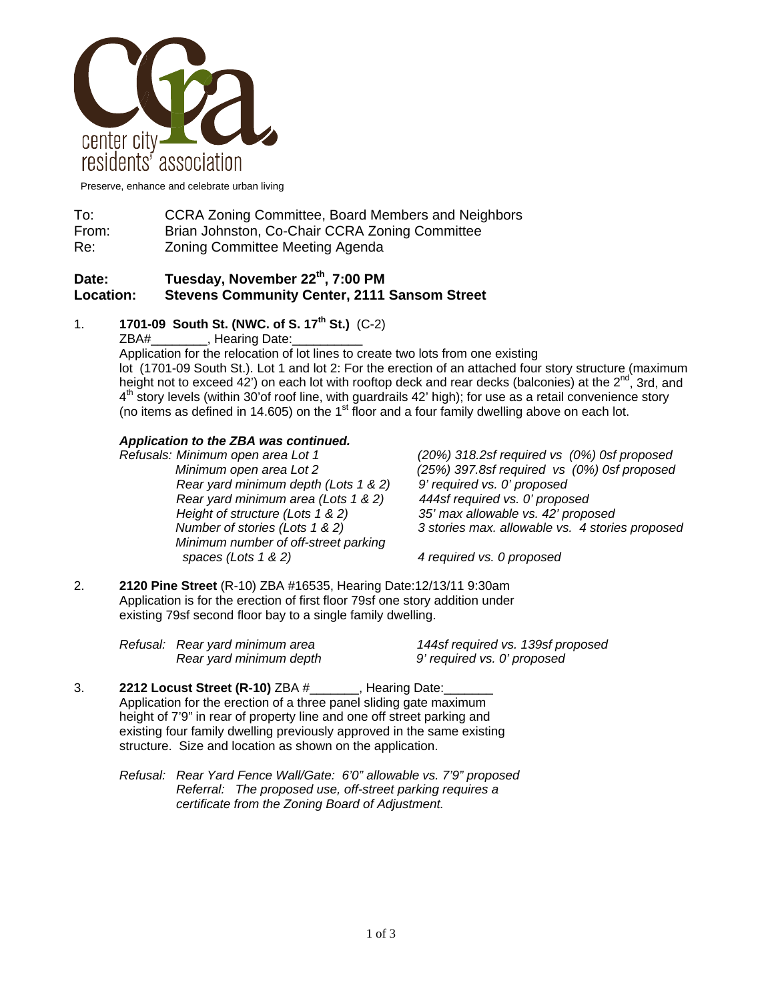

Preserve, enhance and celebrate urban living

To: CCRA Zoning Committee, Board Members and Neighbors From: Brian Johnston, Co-Chair CCRA Zoning Committee Re: Zoning Committee Meeting Agenda

## **Date: Tuesday, November 22th, 7:00 PM Location: Stevens Community Center, 2111 Sansom Street**

# 1. **1701-09 South St. (NWC. of S. 17th St.)** (C-2)

ZBA# Fearing Date:

Application for the relocation of lot lines to create two lots from one existing lot (1701-09 South St.). Lot 1 and lot 2: For the erection of an attached four story structure (maximum height not to exceed 42') on each lot with rooftop deck and rear decks (balconies) at the  $2^{nd}$ , 3rd, and  $4<sup>th</sup>$  story levels (within 30'of roof line, with guardrails 42' high); for use as a retail convenience story (no items as defined in 14.605) on the  $1<sup>st</sup>$  floor and a four family dwelling above on each lot.

### *Application to the ZBA was continued.*

*Refusals: Minimum open area Lot 1 (20%) 318.2sf required vs (0%) 0sf proposed Rear yard minimum depth (Lots 1 & 2) 9' required vs. 0' proposed Rear yard minimum area (Lots 1 & 2) 444sf required vs. 0' proposed Height of structure (Lots 1 & 2) 35' max allowable vs. 42' proposed Minimum number of off-street parking spaces (Lots 1 & 2) 4 required vs. 0 proposed*

 *Minimum open area Lot 2 (25%) 397.8sf required vs (0%) 0sf proposed Number of stories (Lots 1 & 2) 3 stories max. allowable vs. 4 stories proposed* 

2. **2120 Pine Street** (R-10) ZBA #16535, Hearing Date:12/13/11 9:30am Application is for the erection of first floor 79sf one story addition under existing 79sf second floor bay to a single family dwelling.

| Refusal: Rear yard minimum area | 144sf required vs. 139sf proposed |
|---------------------------------|-----------------------------------|
| Rear yard minimum depth         | 9' required vs. 0' proposed       |

3. **2212 Locust Street (R-10)** ZBA #\_\_\_\_\_\_\_, Hearing Date:\_\_\_\_\_\_\_ Application for the erection of a three panel sliding gate maximum height of 7'9" in rear of property line and one off street parking and existing four family dwelling previously approved in the same existing structure. Size and location as shown on the application.

> *Refusal: Rear Yard Fence Wall/Gate: 6'0" allowable vs. 7'9" proposed Referral: The proposed use, off-street parking requires a certificate from the Zoning Board of Adjustment.*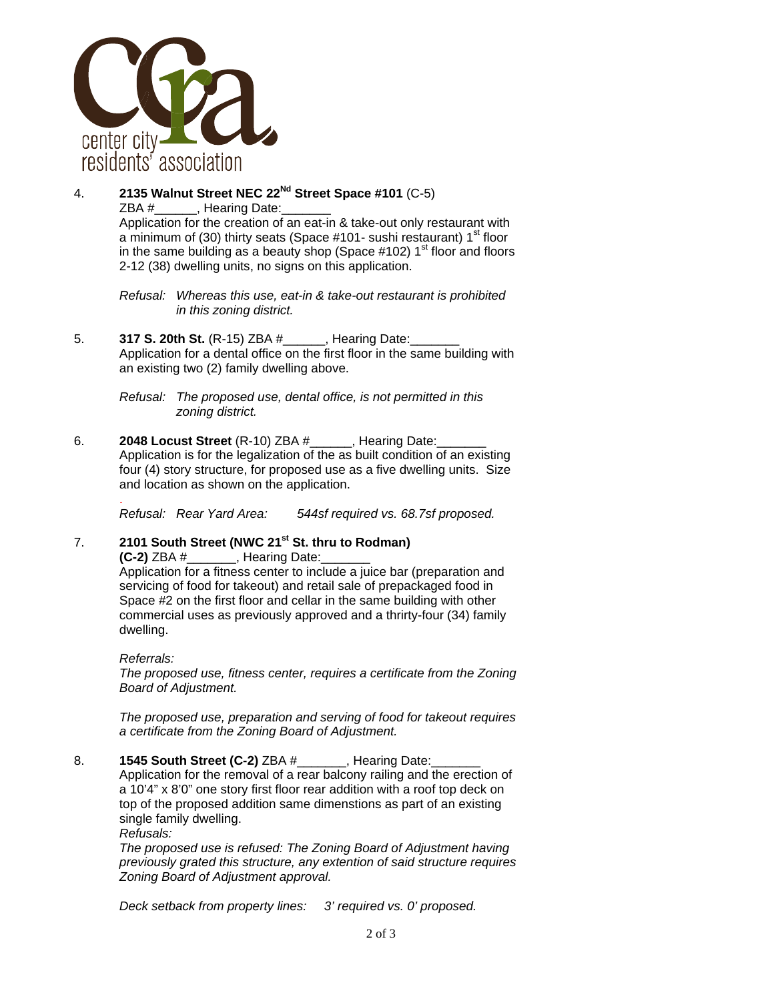

4. **2135 Walnut Street NEC 22Nd Street Space #101** (C-5) ZBA #\_\_\_\_\_\_\_, Hearing Date: Application for the creation of an eat-in & take-out only restaurant with a minimum of (30) thirty seats (Space  $\#101$ - sushi restaurant)  $1<sup>st</sup>$  floor in the same building as a beauty shop (Space  $\#102$ ) 1<sup>st</sup> floor and floors 2-12 (38) dwelling units, no signs on this application.

> *Refusal: Whereas this use, eat-in & take-out restaurant is prohibited in this zoning district.*

5. **317 S. 20th St.** (R-15) ZBA #\_\_\_\_\_\_, Hearing Date:\_\_\_\_\_\_\_ Application for a dental office on the first floor in the same building with an existing two (2) family dwelling above.

> *Refusal: The proposed use, dental office, is not permitted in this zoning district.*

6. **2048 Locust Street** (R-10) ZBA #\_\_\_\_\_\_, Hearing Date:\_\_\_\_\_\_\_ Application is for the legalization of the as built condition of an existing four (4) story structure, for proposed use as a five dwelling units. Size and location as shown on the application.

> . *Refusal: Rear Yard Area: 544sf required vs. 68.7sf proposed.*

## 7. **2101 South Street (NWC 21st St. thru to Rodman)**

**(C-2)** ZBA #\_\_\_\_\_\_\_, Hearing Date:\_\_\_\_\_\_\_

Application for a fitness center to include a juice bar (preparation and servicing of food for takeout) and retail sale of prepackaged food in Space #2 on the first floor and cellar in the same building with other commercial uses as previously approved and a thrirty-four (34) family dwelling.

*Referrals:* 

*The proposed use, fitness center, requires a certificate from the Zoning Board of Adjustment.* 

*The proposed use, preparation and serving of food for takeout requires a certificate from the Zoning Board of Adjustment.* 

8. **1545 South Street (C-2)** ZBA #\_\_\_\_\_\_\_, Hearing Date:\_\_\_\_\_\_\_ Application for the removal of a rear balcony railing and the erection of a 10'4" x 8'0" one story first floor rear addition with a roof top deck on top of the proposed addition same dimenstions as part of an existing single family dwelling.

*Refusals:* 

*The proposed use is refused: The Zoning Board of Adjustment having previously grated this structure, any extention of said structure requires Zoning Board of Adjustment approval.* 

*Deck setback from property lines: 3' required vs. 0' proposed.*